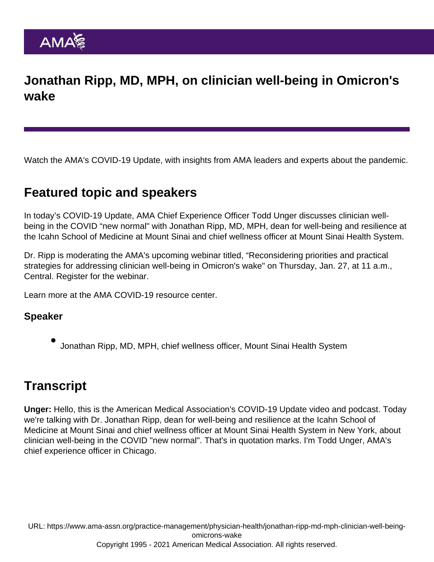## Jonathan Ripp, MD, MPH, on clinician well-being in Omicron's wake

Watch the AMA's COVID-19 Update, with insights from AMA leaders and experts about the pandemic.

## Featured topic and speakers

In today's COVID-19 Update, AMA Chief Experience Officer Todd Unger discusses clinician wellbeing in the COVID "new normal" with Jonathan Ripp, MD, MPH, dean for well-being and resilience at the Icahn School of Medicine at Mount Sinai and chief wellness officer at Mount Sinai Health System.

Dr. Ripp is moderating the AMA's upcoming webinar titled, "Reconsidering priorities and practical strategies for addressing clinician well-being in Omicron's wake" on Thursday, Jan. 27, at 11 a.m., Central. [Register for the webinar.](https://zoom.us/webinar/register/2616427069370/WN_ZFmbAZTNTMGXe_qdMQ2ZNQ)

Learn more at the [AMA COVID-19 resource center](https://www.ama-assn.org/delivering-care/public-health/covid-19-2019-novel-coronavirus-resource-center-physicians).

Speaker

Jonathan Ripp, MD, MPH, chief wellness officer, Mount Sinai Health System

## **Transcript**

Unger: Hello, this is the American Medical Association's COVID-19 Update video and podcast. Today we're talking with Dr. Jonathan Ripp, dean for well-being and resilience at the Icahn School of Medicine at Mount Sinai and chief wellness officer at Mount Sinai Health System in New York, about clinician well-being in the COVID "new normal". That's in quotation marks. I'm Todd Unger, AMA's chief experience officer in Chicago.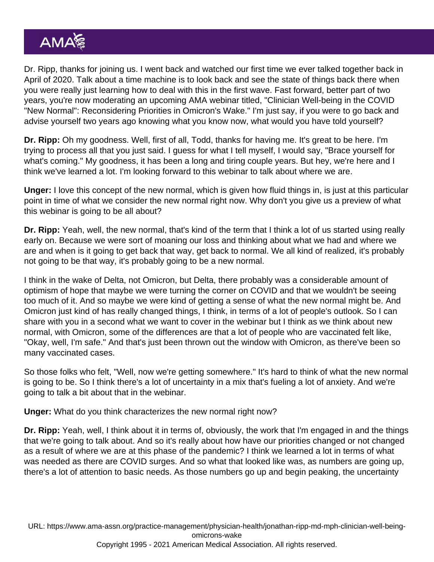Dr. Ripp, thanks for joining us. I went back and watched our first time we ever talked together back in April of 2020. Talk about a time machine is to look back and see the state of things back there when you were really just learning how to deal with this in the first wave. Fast forward, better part of two years, you're now moderating an upcoming AMA webinar titled, "Clinician Well-being in the COVID "New Normal": Reconsidering Priorities in Omicron's Wake." I'm just say, if you were to go back and advise yourself two years ago knowing what you know now, what would you have told yourself?

Dr. Ripp: Oh my goodness. Well, first of all, Todd, thanks for having me. It's great to be here. I'm trying to process all that you just said. I guess for what I tell myself, I would say, "Brace yourself for what's coming." My goodness, it has been a long and tiring couple years. But hey, we're here and I think we've learned a lot. I'm looking forward to this webinar to talk about where we are.

Unger: I love this concept of the new normal, which is given how fluid things in, is just at this particular point in time of what we consider the new normal right now. Why don't you give us a preview of what this webinar is going to be all about?

Dr. Ripp: Yeah, well, the new normal, that's kind of the term that I think a lot of us started using really early on. Because we were sort of moaning our loss and thinking about what we had and where we are and when is it going to get back that way, get back to normal. We all kind of realized, it's probably not going to be that way, it's probably going to be a new normal.

I think in the wake of Delta, not Omicron, but Delta, there probably was a considerable amount of optimism of hope that maybe we were turning the corner on COVID and that we wouldn't be seeing too much of it. And so maybe we were kind of getting a sense of what the new normal might be. And Omicron just kind of has really changed things, I think, in terms of a lot of people's outlook. So I can share with you in a second what we want to cover in the webinar but I think as we think about new normal, with Omicron, some of the differences are that a lot of people who are vaccinated felt like, "Okay, well, I'm safe." And that's just been thrown out the window with Omicron, as there've been so many vaccinated cases.

So those folks who felt, "Well, now we're getting somewhere." It's hard to think of what the new normal is going to be. So I think there's a lot of uncertainty in a mix that's fueling a lot of anxiety. And we're going to talk a bit about that in the webinar.

Unger: What do you think characterizes the new normal right now?

Dr. Ripp: Yeah, well, I think about it in terms of, obviously, the work that I'm engaged in and the things that we're going to talk about. And so it's really about how have our priorities changed or not changed as a result of where we are at this phase of the pandemic? I think we learned a lot in terms of what was needed as there are COVID surges. And so what that looked like was, as numbers are going up, there's a lot of attention to basic needs. As those numbers go up and begin peaking, the uncertainty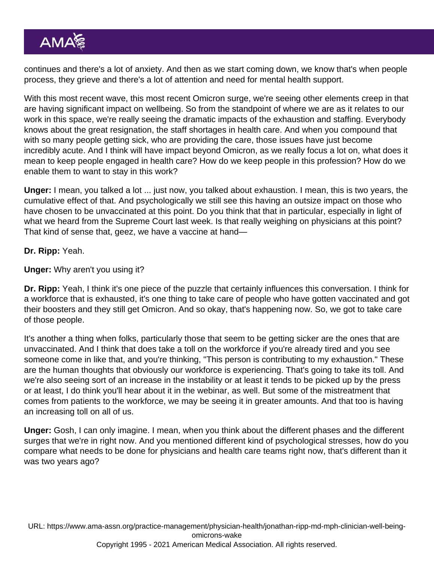continues and there's a lot of anxiety. And then as we start coming down, we know that's when people process, they grieve and there's a lot of attention and need for mental health support.

With this most recent wave, this most recent Omicron surge, we're seeing other elements creep in that are having significant impact on wellbeing. So from the standpoint of where we are as it relates to our work in this space, we're really seeing the dramatic impacts of the exhaustion and staffing. Everybody knows about the great resignation, the staff shortages in health care. And when you compound that with so many people getting sick, who are providing the care, those issues have just become incredibly acute. And I think will have impact beyond Omicron, as we really focus a lot on, what does it mean to keep people engaged in health care? How do we keep people in this profession? How do we enable them to want to stay in this work?

Unger: I mean, you talked a lot ... just now, you talked about exhaustion. I mean, this is two years, the cumulative effect of that. And psychologically we still see this having an outsize impact on those who have chosen to be unvaccinated at this point. Do you think that that in particular, especially in light of what we heard from the Supreme Court last week. Is that really weighing on physicians at this point? That kind of sense that, geez, we have a vaccine at hand—

Dr. Ripp: Yeah.

Unger: Why aren't you using it?

Dr. Ripp: Yeah, I think it's one piece of the puzzle that certainly influences this conversation. I think for a workforce that is exhausted, it's one thing to take care of people who have gotten vaccinated and got their boosters and they still get Omicron. And so okay, that's happening now. So, we got to take care of those people.

It's another a thing when folks, particularly those that seem to be getting sicker are the ones that are unvaccinated. And I think that does take a toll on the workforce if you're already tired and you see someone come in like that, and you're thinking, "This person is contributing to my exhaustion." These are the human thoughts that obviously our workforce is experiencing. That's going to take its toll. And we're also seeing sort of an increase in the instability or at least it tends to be picked up by the press or at least, I do think you'll hear about it in the webinar, as well. But some of the mistreatment that comes from patients to the workforce, we may be seeing it in greater amounts. And that too is having an increasing toll on all of us.

Unger: Gosh, I can only imagine. I mean, when you think about the different phases and the different surges that we're in right now. And you mentioned different kind of psychological stresses, how do you compare what needs to be done for physicians and health care teams right now, that's different than it was two years ago?

URL: [https://www.ama-assn.org/practice-management/physician-health/jonathan-ripp-md-mph-clinician-well-being](https://www.ama-assn.org/practice-management/physician-health/jonathan-ripp-md-mph-clinician-well-being-omicrons-wake)[omicrons-wake](https://www.ama-assn.org/practice-management/physician-health/jonathan-ripp-md-mph-clinician-well-being-omicrons-wake)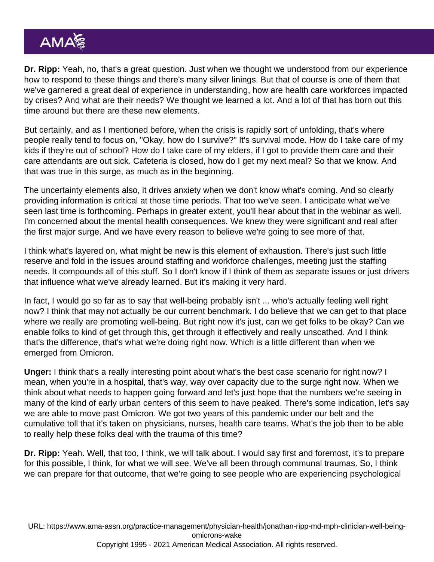Dr. Ripp: Yeah, no, that's a great question. Just when we thought we understood from our experience how to respond to these things and there's many silver linings. But that of course is one of them that we've garnered a great deal of experience in understanding, how are health care workforces impacted by crises? And what are their needs? We thought we learned a lot. And a lot of that has born out this time around but there are these new elements.

But certainly, and as I mentioned before, when the crisis is rapidly sort of unfolding, that's where people really tend to focus on, "Okay, how do I survive?" It's survival mode. How do I take care of my kids if they're out of school? How do I take care of my elders, if I got to provide them care and their care attendants are out sick. Cafeteria is closed, how do I get my next meal? So that we know. And that was true in this surge, as much as in the beginning.

The uncertainty elements also, it drives anxiety when we don't know what's coming. And so clearly providing information is critical at those time periods. That too we've seen. I anticipate what we've seen last time is forthcoming. Perhaps in greater extent, you'll hear about that in the webinar as well. I'm concerned about the mental health consequences. We knew they were significant and real after the first major surge. And we have every reason to believe we're going to see more of that.

I think what's layered on, what might be new is this element of exhaustion. There's just such little reserve and fold in the issues around staffing and workforce challenges, meeting just the staffing needs. It compounds all of this stuff. So I don't know if I think of them as separate issues or just drivers that influence what we've already learned. But it's making it very hard.

In fact, I would go so far as to say that well-being probably isn't ... who's actually feeling well right now? I think that may not actually be our current benchmark. I do believe that we can get to that place where we really are promoting well-being. But right now it's just, can we get folks to be okay? Can we enable folks to kind of get through this, get through it effectively and really unscathed. And I think that's the difference, that's what we're doing right now. Which is a little different than when we emerged from Omicron.

Unger: I think that's a really interesting point about what's the best case scenario for right now? I mean, when you're in a hospital, that's way, way over capacity due to the surge right now. When we think about what needs to happen going forward and let's just hope that the numbers we're seeing in many of the kind of early urban centers of this seem to have peaked. There's some indication, let's say we are able to move past Omicron. We got two years of this pandemic under our belt and the cumulative toll that it's taken on physicians, nurses, health care teams. What's the job then to be able to really help these folks deal with the trauma of this time?

Dr. Ripp: Yeah. Well, that too, I think, we will talk about. I would say first and foremost, it's to prepare for this possible, I think, for what we will see. We've all been through communal traumas. So, I think we can prepare for that outcome, that we're going to see people who are experiencing psychological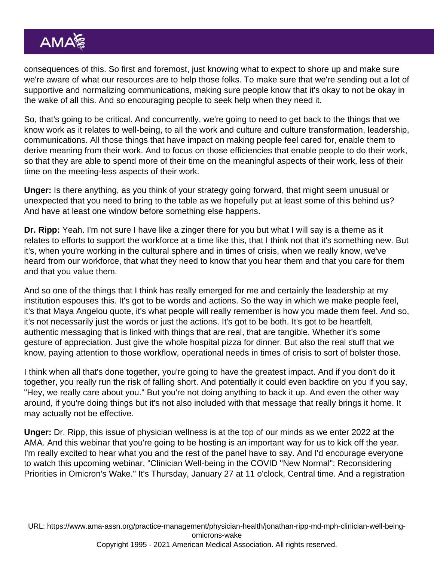consequences of this. So first and foremost, just knowing what to expect to shore up and make sure we're aware of what our resources are to help those folks. To make sure that we're sending out a lot of supportive and normalizing communications, making sure people know that it's okay to not be okay in the wake of all this. And so encouraging people to seek help when they need it.

So, that's going to be critical. And concurrently, we're going to need to get back to the things that we know work as it relates to well-being, to all the work and culture and culture transformation, leadership, communications. All those things that have impact on making people feel cared for, enable them to derive meaning from their work. And to focus on those efficiencies that enable people to do their work, so that they are able to spend more of their time on the meaningful aspects of their work, less of their time on the meeting-less aspects of their work.

Unger: Is there anything, as you think of your strategy going forward, that might seem unusual or unexpected that you need to bring to the table as we hopefully put at least some of this behind us? And have at least one window before something else happens.

Dr. Ripp: Yeah. I'm not sure I have like a zinger there for you but what I will say is a theme as it relates to efforts to support the workforce at a time like this, that I think not that it's something new. But it's, when you're working in the cultural sphere and in times of crisis, when we really know, we've heard from our workforce, that what they need to know that you hear them and that you care for them and that you value them.

And so one of the things that I think has really emerged for me and certainly the leadership at my institution espouses this. It's got to be words and actions. So the way in which we make people feel, it's that Maya Angelou quote, it's what people will really remember is how you made them feel. And so, it's not necessarily just the words or just the actions. It's got to be both. It's got to be heartfelt, authentic messaging that is linked with things that are real, that are tangible. Whether it's some gesture of appreciation. Just give the whole hospital pizza for dinner. But also the real stuff that we know, paying attention to those workflow, operational needs in times of crisis to sort of bolster those.

I think when all that's done together, you're going to have the greatest impact. And if you don't do it together, you really run the risk of falling short. And potentially it could even backfire on you if you say, "Hey, we really care about you." But you're not doing anything to back it up. And even the other way around, if you're doing things but it's not also included with that message that really brings it home. It may actually not be effective.

Unger: Dr. Ripp, this issue of physician wellness is at the top of our minds as we enter 2022 at the AMA. And this webinar that you're going to be hosting is an important way for us to kick off the year. I'm really excited to hear what you and the rest of the panel have to say. And I'd encourage everyone to watch this upcoming webinar, "Clinician Well-being in the COVID "New Normal": Reconsidering Priorities in Omicron's Wake." It's Thursday, January 27 at 11 o'clock, Central time. And a registration